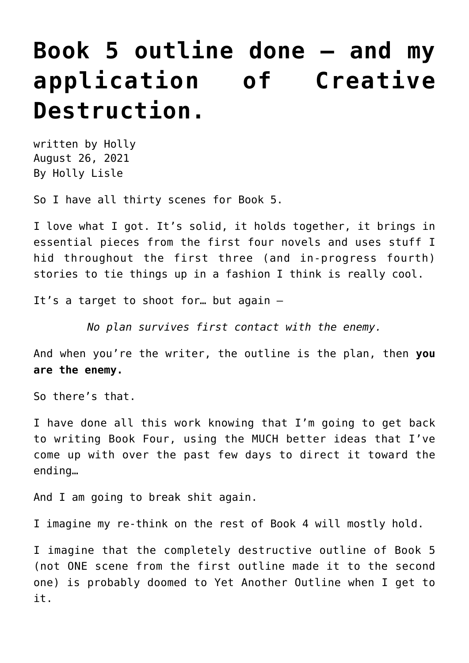## **[Book 5 outline done — and my](https://hollylisle.com/book-5-outline-done-and-my-application-of-creative-destruction/) [application of Creative](https://hollylisle.com/book-5-outline-done-and-my-application-of-creative-destruction/) [Destruction.](https://hollylisle.com/book-5-outline-done-and-my-application-of-creative-destruction/)**

written by Holly August 26, 2021 [By Holly Lisle](https://hollylisle.com)

So I have all thirty scenes for Book 5.

I love what I got. It's solid, it holds together, it brings in essential pieces from the first four novels and uses stuff I hid throughout the first three (and in-progress fourth) stories to tie things up in a fashion I think is really cool.

It's a target to shoot for… but again —

*No plan survives first contact with the enemy.*

And when you're the writer, the outline is the plan, then **you are the enemy.**

So there's that.

I have done all this work knowing that I'm going to get back to writing Book Four, using the MUCH better ideas that I've come up with over the past few days to direct it toward the ending…

And I am going to break shit again.

I imagine my re-think on the rest of Book 4 will mostly hold.

I imagine that the completely destructive outline of Book 5 (not ONE scene from the first outline made it to the second one) is probably doomed to Yet Another Outline when I get to it.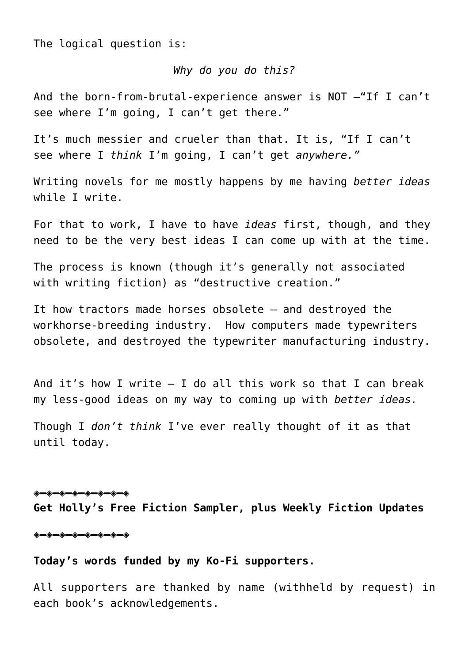The logical question is:

## *Why do you do this?*

And the born-from-brutal-experience answer is NOT —"If I can't see where I'm going, I can't get there."

It's much messier and crueler than that. It is, "If I can't see where I *think* I'm going, I can't get *anywhere."*

Writing novels for me mostly happens by me having *better ideas* while I write.

For that to work, I have to have *ideas* first, though, and they need to be the very best ideas I can come up with at the time.

The process is known (though it's generally not associated with writing fiction) as "destructive creation."

It how tractors made horses obsolete — and destroyed the workhorse-breeding industry. How computers made typewriters obsolete, and destroyed the typewriter manufacturing industry.

And it's how I write  $-$  I do all this work so that I can break my less-good ideas on my way to coming up with *better ideas.*

Though I *don't think* I've ever really thought of it as that until today.

◈━◈━◈━◈━◈━◈━◈━◈ **Get Holly's Free Fiction Sampler, plus Weekly Fiction Updates** ◈━◈━◈━◈━◈━◈━◈━◈

## **Today's words funded by my Ko-Fi supporters.**

All supporters are thanked by name (withheld by request) in each book's acknowledgements.